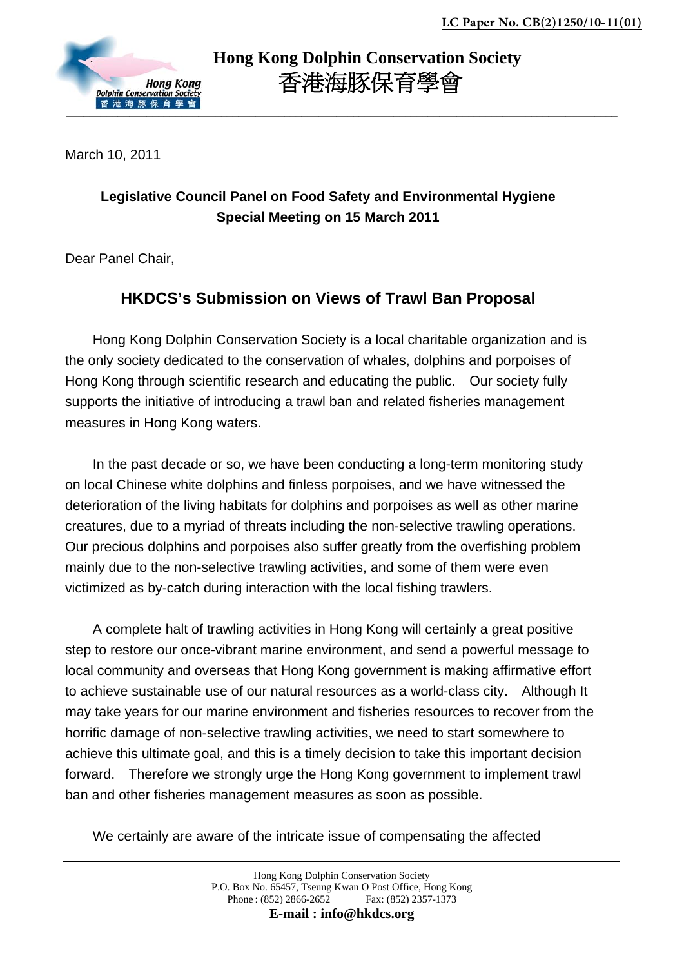

 **Hong Kong Dolphin Conservation Society** 香港海豚保育學會

March 10, 2011

## **Legislative Council Panel on Food Safety and Environmental Hygiene Special Meeting on 15 March 2011**

Dear Panel Chair,

## **HKDCS's Submission on Views of Trawl Ban Proposal**

Hong Kong Dolphin Conservation Society is a local charitable organization and is the only society dedicated to the conservation of whales, dolphins and porpoises of Hong Kong through scientific research and educating the public. Our society fully supports the initiative of introducing a trawl ban and related fisheries management measures in Hong Kong waters.

In the past decade or so, we have been conducting a long-term monitoring study on local Chinese white dolphins and finless porpoises, and we have witnessed the deterioration of the living habitats for dolphins and porpoises as well as other marine creatures, due to a myriad of threats including the non-selective trawling operations. Our precious dolphins and porpoises also suffer greatly from the overfishing problem mainly due to the non-selective trawling activities, and some of them were even victimized as by-catch during interaction with the local fishing trawlers.

A complete halt of trawling activities in Hong Kong will certainly a great positive step to restore our once-vibrant marine environment, and send a powerful message to local community and overseas that Hong Kong government is making affirmative effort to achieve sustainable use of our natural resources as a world-class city. Although It may take years for our marine environment and fisheries resources to recover from the horrific damage of non-selective trawling activities, we need to start somewhere to achieve this ultimate goal, and this is a timely decision to take this important decision forward. Therefore we strongly urge the Hong Kong government to implement trawl ban and other fisheries management measures as soon as possible.

We certainly are aware of the intricate issue of compensating the affected